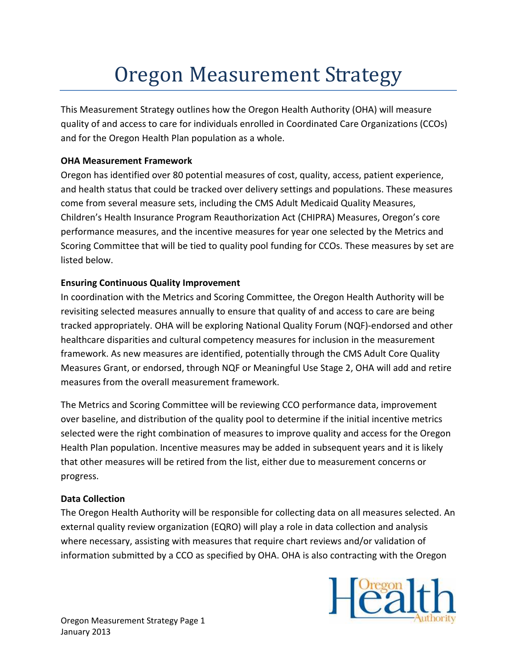# Oregon Measurement Strategy

This Measurement Strategy outlines how the Oregon Health Authority (OHA) will measure quality of and access to care for individuals enrolled in Coordinated Care Organizations (CCOs) and for the Oregon Health Plan population as a whole.

## OHA Measurement Framework

Oregon has identified over 80 potential measures of cost, quality, access, patient experience, and health status that could be tracked over delivery settings and populations. These measures come from several measure sets, including the CMS Adult Medicaid Quality Measures, Children's Health Insurance Program Reauthorization Act (CHIPRA) Measures, Oregon's core performance measures, and the incentive measures for year one selected by the Metrics and Scoring Committee that will be tied to quality pool funding for CCOs. These measures by set are listed below.

# Ensuring Continuous Quality Improvement

In coordination with the Metrics and Scoring Committee, the Oregon Health Authority will be revisiting selected measures annually to ensure that quality of and access to care are being tracked appropriately. OHA will be exploring National Quality Forum (NQF)-endorsed and other healthcare disparities and cultural competency measures for inclusion in the measurement framework. As new measures are identified, potentially through the CMS Adult Core Quality Measures Grant, or endorsed, through NQF or Meaningful Use Stage 2, OHA will add and retire measures from the overall measurement framework.

The Metrics and Scoring Committee will be reviewing CCO performance data, improvement over baseline, and distribution of the quality pool to determine if the initial incentive metrics selected were the right combination of measures to improve quality and access for the Oregon Health Plan population. Incentive measures may be added in subsequent years and it is likely that other measures will be retired from the list, either due to measurement concerns or progress.

## Data Collection

The Oregon Health Authority will be responsible for collecting data on all measures selected. An external quality review organization (EQRO) will play a role in data collection and analysis where necessary, assisting with measures that require chart reviews and/or validation of information submitted by a CCO as specified by OHA. OHA is also contracting with the Oregon

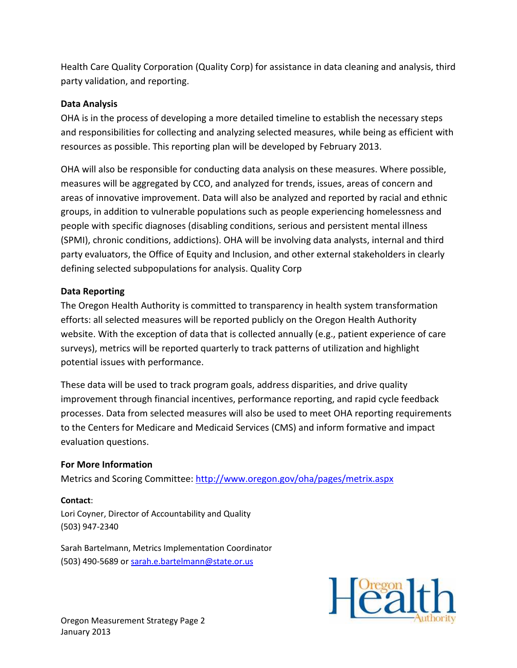Health Care Quality Corporation (Quality Corp) for assistance in data cleaning and analysis, third party validation, and reporting.

### Data Analysis

OHA is in the process of developing a more detailed timeline to establish the necessary steps and responsibilities for collecting and analyzing selected measures, while being as efficient with resources as possible. This reporting plan will be developed by February 2013.

OHA will also be responsible for conducting data analysis on these measures. Where possible, measures will be aggregated by CCO, and analyzed for trends, issues, areas of concern and areas of innovative improvement. Data will also be analyzed and reported by racial and ethnic groups, in addition to vulnerable populations such as people experiencing homelessness and people with specific diagnoses (disabling conditions, serious and persistent mental illness (SPMI), chronic conditions, addictions). OHA will be involving data analysts, internal and third party evaluators, the Office of Equity and Inclusion, and other external stakeholders in clearly defining selected subpopulations for analysis. Quality Corp

#### Data Reporting

The Oregon Health Authority is committed to transparency in health system transformation efforts: all selected measures will be reported publicly on the Oregon Health Authority website. With the exception of data that is collected annually (e.g., patient experience of care surveys), metrics will be reported quarterly to track patterns of utilization and highlight potential issues with performance.

These data will be used to track program goals, address disparities, and drive quality improvement through financial incentives, performance reporting, and rapid cycle feedback processes. Data from selected measures will also be used to meet OHA reporting requirements to the Centers for Medicare and Medicaid Services (CMS) and inform formative and impact evaluation questions.

#### For More Information

Metrics and Scoring Committee: http://www.oregon.gov/oha/pages/metrix.aspx

#### Contact:

Lori Coyner, Director of Accountability and Quality (503) 947-2340

Sarah Bartelmann, Metrics Implementation Coordinator (503) 490-5689 or sarah.e.bartelmann@state.or.us

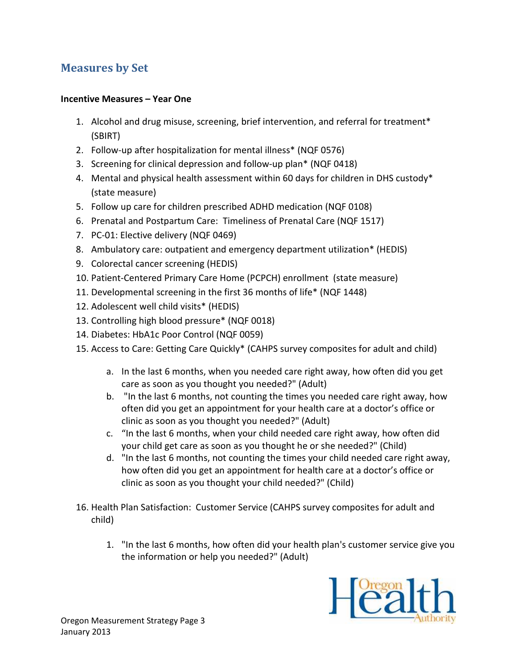# Measures by Set

## Incentive Measures – Year One

- 1. Alcohol and drug misuse, screening, brief intervention, and referral for treatment\* (SBIRT)
- 2. Follow-up after hospitalization for mental illness\* (NQF 0576)
- 3. Screening for clinical depression and follow-up plan\* (NQF 0418)
- 4. Mental and physical health assessment within 60 days for children in DHS custody\* (state measure)
- 5. Follow up care for children prescribed ADHD medication (NQF 0108)
- 6. Prenatal and Postpartum Care: Timeliness of Prenatal Care (NQF 1517)
- 7. PC-01: Elective delivery (NQF 0469)
- 8. Ambulatory care: outpatient and emergency department utilization\* (HEDIS)
- 9. Colorectal cancer screening (HEDIS)
- 10. Patient-Centered Primary Care Home (PCPCH) enrollment (state measure)
- 11. Developmental screening in the first 36 months of life\* (NQF 1448)
- 12. Adolescent well child visits\* (HEDIS)
- 13. Controlling high blood pressure\* (NQF 0018)
- 14. Diabetes: HbA1c Poor Control (NQF 0059)
- 15. Access to Care: Getting Care Quickly\* (CAHPS survey composites for adult and child)
	- a. In the last 6 months, when you needed care right away, how often did you get care as soon as you thought you needed?" (Adult)
	- b. "In the last 6 months, not counting the times you needed care right away, how often did you get an appointment for your health care at a doctor's office or clinic as soon as you thought you needed?" (Adult)
	- c. "In the last 6 months, when your child needed care right away, how often did your child get care as soon as you thought he or she needed?" (Child)
	- d. "In the last 6 months, not counting the times your child needed care right away, how often did you get an appointment for health care at a doctor's office or clinic as soon as you thought your child needed?" (Child)
- 16. Health Plan Satisfaction: Customer Service (CAHPS survey composites for adult and child)
	- 1. "In the last 6 months, how often did your health plan's customer service give you the information or help you needed?" (Adult)

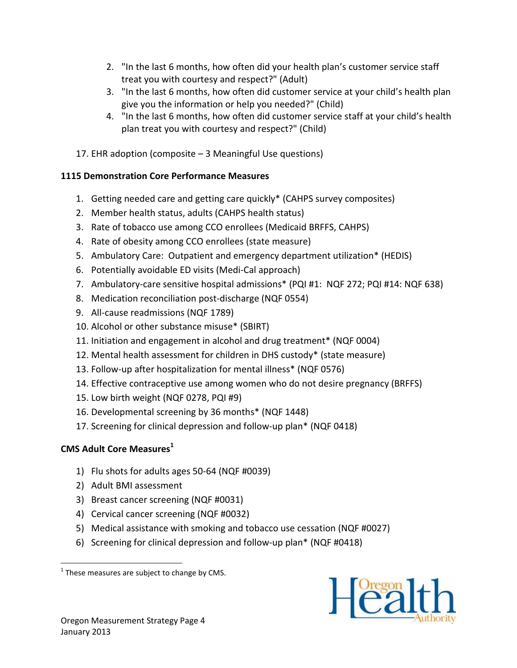- 2. "In the last 6 months, how often did your health plan's customer service staff treat you with courtesy and respect?" (Adult)
- 3. "In the last 6 months, how often did customer service at your child's health plan give you the information or help you needed?" (Child)
- 4. "In the last 6 months, how often did customer service staff at your child's health plan treat you with courtesy and respect?" (Child)
- 17. EHR adoption (composite 3 Meaningful Use questions)

# 1115 Demonstration Core Performance Measures

- 1. Getting needed care and getting care quickly\* (CAHPS survey composites)
- 2. Member health status, adults (CAHPS health status)
- 3. Rate of tobacco use among CCO enrollees (Medicaid BRFFS, CAHPS)
- 4. Rate of obesity among CCO enrollees (state measure)
- 5. Ambulatory Care: Outpatient and emergency department utilization\* (HEDIS)
- 6. Potentially avoidable ED visits (Medi-Cal approach)
- 7. Ambulatory-care sensitive hospital admissions\* (PQI #1: NQF 272; PQI #14: NQF 638)
- 8. Medication reconciliation post-discharge (NQF 0554)
- 9. All-cause readmissions (NQF 1789)
- 10. Alcohol or other substance misuse\* (SBIRT)
- 11. Initiation and engagement in alcohol and drug treatment\* (NQF 0004)
- 12. Mental health assessment for children in DHS custody\* (state measure)
- 13. Follow-up after hospitalization for mental illness\* (NQF 0576)
- 14. Effective contraceptive use among women who do not desire pregnancy (BRFFS)
- 15. Low birth weight (NQF 0278, PQI #9)
- 16. Developmental screening by 36 months\* (NQF 1448)
- 17. Screening for clinical depression and follow-up plan\* (NQF 0418)

# CMS Adult Core Measures<sup>1</sup>

- 1) Flu shots for adults ages 50-64 (NQF #0039)
- 2) Adult BMI assessment
- 3) Breast cancer screening (NQF #0031)
- 4) Cervical cancer screening (NQF #0032)
- 5) Medical assistance with smoking and tobacco use cessation (NQF #0027)
- 6) Screening for clinical depression and follow-up plan\* (NQF #0418)



<sup>&</sup>lt;u>.</u>  $<sup>1</sup>$  These measures are subject to change by CMS.</sup>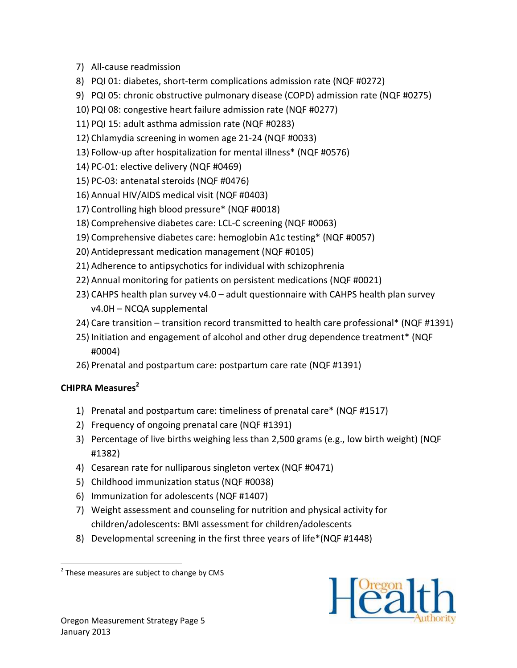- 7) All-cause readmission
- 8) PQI 01: diabetes, short-term complications admission rate (NQF #0272)
- 9) PQI 05: chronic obstructive pulmonary disease (COPD) admission rate (NQF #0275)
- 10) PQI 08: congestive heart failure admission rate (NQF #0277)
- 11) PQI 15: adult asthma admission rate (NQF #0283)
- 12) Chlamydia screening in women age 21-24 (NQF #0033)
- 13) Follow-up after hospitalization for mental illness\* (NQF #0576)
- 14) PC-01: elective delivery (NQF #0469)
- 15) PC-03: antenatal steroids (NQF #0476)
- 16) Annual HIV/AIDS medical visit (NQF #0403)
- 17) Controlling high blood pressure\* (NQF #0018)
- 18) Comprehensive diabetes care: LCL-C screening (NQF #0063)
- 19) Comprehensive diabetes care: hemoglobin A1c testing\* (NQF #0057)
- 20) Antidepressant medication management (NQF #0105)
- 21) Adherence to antipsychotics for individual with schizophrenia
- 22) Annual monitoring for patients on persistent medications (NQF #0021)
- 23) CAHPS health plan survey v4.0 adult questionnaire with CAHPS health plan survey v4.0H – NCQA supplemental
- 24) Care transition transition record transmitted to health care professional\* (NQF #1391)
- 25) Initiation and engagement of alcohol and other drug dependence treatment\* (NQF #0004)
- 26) Prenatal and postpartum care: postpartum care rate (NQF #1391)

# CHIPRA Measures<sup>2</sup>

<u>.</u>

- 1) Prenatal and postpartum care: timeliness of prenatal care\* (NQF #1517)
- 2) Frequency of ongoing prenatal care (NQF #1391)
- 3) Percentage of live births weighing less than 2,500 grams (e.g., low birth weight) (NQF #1382)
- 4) Cesarean rate for nulliparous singleton vertex (NQF #0471)
- 5) Childhood immunization status (NQF #0038)
- 6) Immunization for adolescents (NQF #1407)
- 7) Weight assessment and counseling for nutrition and physical activity for children/adolescents: BMI assessment for children/adolescents
- 8) Developmental screening in the first three years of life\*(NQF #1448)



 $2$  These measures are subject to change by CMS